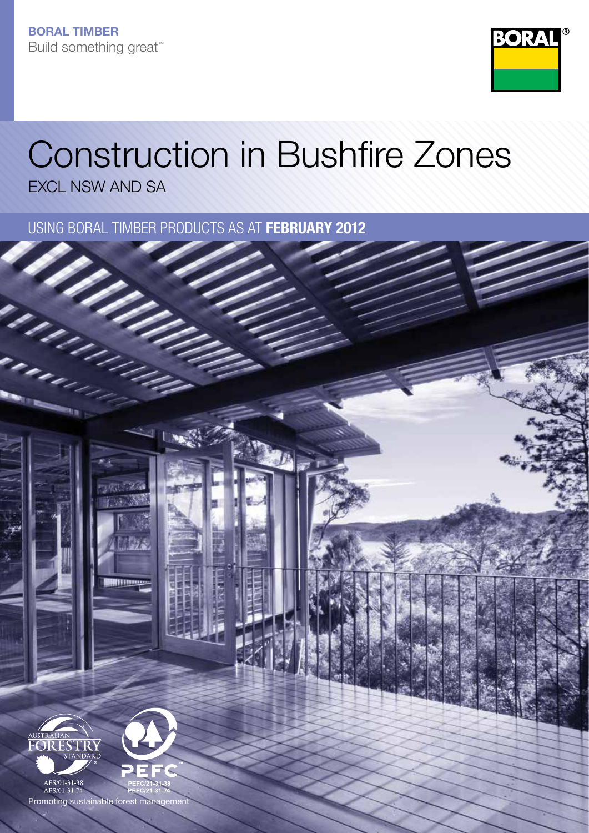

# Construction in Bushfire Zones

EXCL NSW AND SA

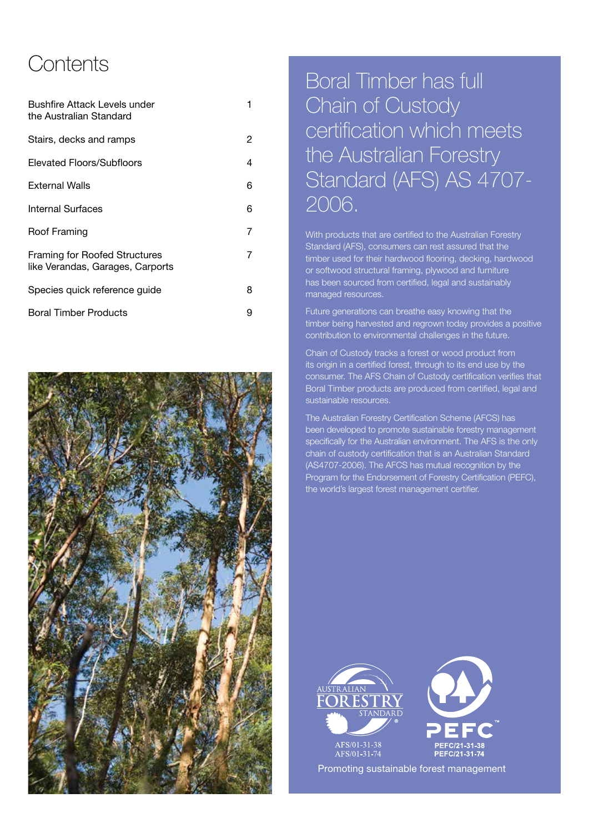### **Contents**

| Bushfire Attack Levels under<br>the Australian Standard           | 1 |
|-------------------------------------------------------------------|---|
| Stairs, decks and ramps                                           | 2 |
| Elevated Floors/Subfloors                                         | 4 |
| <b>External Walls</b>                                             | 6 |
| Internal Surfaces                                                 | 6 |
| Roof Framing                                                      | 7 |
| Framing for Roofed Structures<br>like Verandas, Garages, Carports | 7 |
| Species quick reference guide                                     | 8 |
| <b>Boral Timber Products</b>                                      | 9 |



### Boral Timber has full Chain of Custody certification which meets the Australian Forestry Standard (AFS) AS 4707- 2006.

With products that are certified to the Australian Forestry Standard (AFS), consumers can rest assured that the timber used for their hardwood flooring, decking, hardwood or softwood structural framing, plywood and furniture has been sourced from certified, legal and sustainably managed resources.

Future generations can breathe easy knowing that the timber being harvested and regrown today provides a positive contribution to environmental challenges in the future.

Chain of Custody tracks a forest or wood product from its origin in a certified forest, through to its end use by the consumer. The AFS Chain of Custody certification verifies that Boral Timber products are produced from certified, legal and sustainable resources.

The Australian Forestry Certification Scheme (AFCS) has been developed to promote sustainable forestry management specifically for the Australian environment. The AFS is the only chain of custody certification that is an Australian Standard (AS4707-2006). The AFCS has mutual recognition by the Program for the Endorsement of Forestry Certification (PEFC), the world's largest forest management certifier.





Promoting sustainable forest management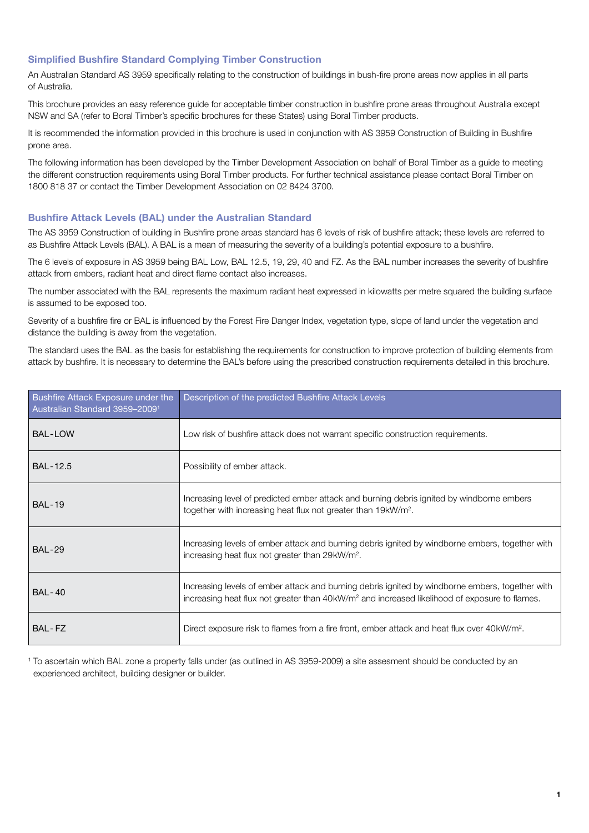#### Simplified Bushfire Standard Complying Timber Construction

An Australian Standard AS 3959 specifically relating to the construction of buildings in bush-fire prone areas now applies in all parts of Australia.

This brochure provides an easy reference guide for acceptable timber construction in bushfire prone areas throughout Australia except NSW and SA (refer to Boral Timber's specific brochures for these States) using Boral Timber products.

It is recommended the information provided in this brochure is used in conjunction with AS 3959 Construction of Building in Bushfire prone area.

The following information has been developed by the Timber Development Association on behalf of Boral Timber as a guide to meeting the different construction requirements using Boral Timber products. For further technical assistance please contact Boral Timber on 1800 818 37 or contact the Timber Development Association on 02 8424 3700.

#### Bushfire Attack Levels (BAL) under the Australian Standard

The AS 3959 Construction of building in Bushfire prone areas standard has 6 levels of risk of bushfire attack; these levels are referred to as Bushfire Attack Levels (BAL). A BAL is a mean of measuring the severity of a building's potential exposure to a bushfire.

The 6 levels of exposure in AS 3959 being BAL Low, BAL 12.5, 19, 29, 40 and FZ. As the BAL number increases the severity of bushfire attack from embers, radiant heat and direct flame contact also increases.

The number associated with the BAL represents the maximum radiant heat expressed in kilowatts per metre squared the building surface is assumed to be exposed too.

Severity of a bushfire fire or BAL is influenced by the Forest Fire Danger Index, vegetation type, slope of land under the vegetation and distance the building is away from the vegetation.

The standard uses the BAL as the basis for establishing the requirements for construction to improve protection of building elements from attack by bushfire. It is necessary to determine the BAL's before using the prescribed construction requirements detailed in this brochure.

| Bushfire Attack Exposure under the<br>Australian Standard 3959-2009 <sup>1</sup> | Description of the predicted Bushfire Attack Levels                                                                                                                                                          |
|----------------------------------------------------------------------------------|--------------------------------------------------------------------------------------------------------------------------------------------------------------------------------------------------------------|
| <b>BAL-LOW</b>                                                                   | Low risk of bushfire attack does not warrant specific construction requirements.                                                                                                                             |
| <b>BAL-12.5</b>                                                                  | Possibility of ember attack.                                                                                                                                                                                 |
| <b>BAL-19</b>                                                                    | Increasing level of predicted ember attack and burning debris ignited by windborne embers<br>together with increasing heat flux not greater than 19kW/m <sup>2</sup> .                                       |
| <b>BAL-29</b>                                                                    | Increasing levels of ember attack and burning debris ignited by windborne embers, together with<br>increasing heat flux not greater than 29kW/m <sup>2</sup> .                                               |
| <b>BAL-40</b>                                                                    | Increasing levels of ember attack and burning debris ignited by windborne embers, together with<br>increasing heat flux not greater than 40kW/m <sup>2</sup> and increased likelihood of exposure to flames. |
| BAL-FZ                                                                           | Direct exposure risk to flames from a fire front, ember attack and heat flux over 40kW/m <sup>2</sup> .                                                                                                      |

<sup>1</sup> To ascertain which BAL zone a property falls under (as outlined in AS 3959-2009) a site assesment should be conducted by an experienced architect, building designer or builder.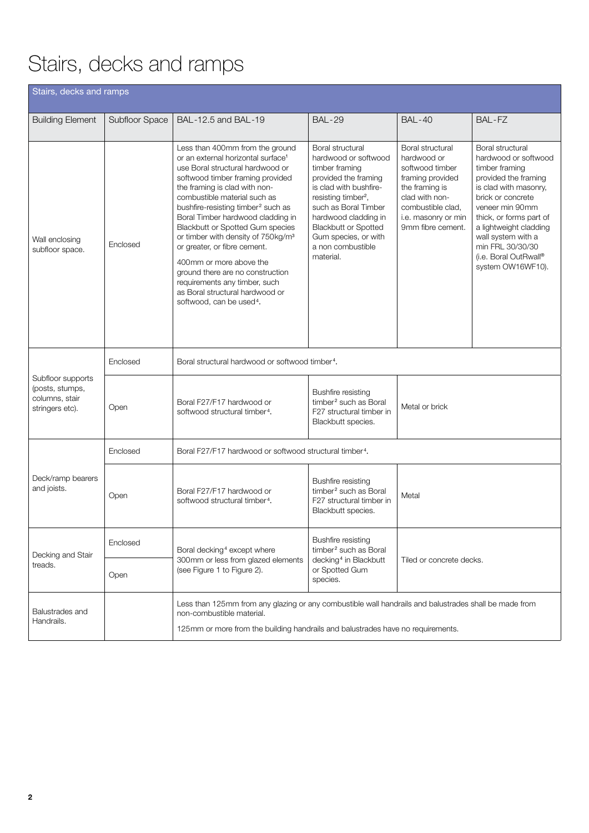# Stairs, decks and ramps

| Stairs, decks and ramps                                                                                                                                                                                                                                |                |                                                                                                                                                                                                                                                                                                                                                                                                                                                                                                                                                                                                                           |                                                                                                                                                                                                                                                                                          |                                                                                                                                                                             |                                                                                                                                                                                                                                                                                                  |  |  |  |  |
|--------------------------------------------------------------------------------------------------------------------------------------------------------------------------------------------------------------------------------------------------------|----------------|---------------------------------------------------------------------------------------------------------------------------------------------------------------------------------------------------------------------------------------------------------------------------------------------------------------------------------------------------------------------------------------------------------------------------------------------------------------------------------------------------------------------------------------------------------------------------------------------------------------------------|------------------------------------------------------------------------------------------------------------------------------------------------------------------------------------------------------------------------------------------------------------------------------------------|-----------------------------------------------------------------------------------------------------------------------------------------------------------------------------|--------------------------------------------------------------------------------------------------------------------------------------------------------------------------------------------------------------------------------------------------------------------------------------------------|--|--|--|--|
| <b>Building Element</b>                                                                                                                                                                                                                                | Subfloor Space | BAL-12.5 and BAL-19                                                                                                                                                                                                                                                                                                                                                                                                                                                                                                                                                                                                       | <b>BAL-29</b>                                                                                                                                                                                                                                                                            | <b>BAL-40</b>                                                                                                                                                               | BAL-FZ                                                                                                                                                                                                                                                                                           |  |  |  |  |
| Wall enclosing<br>subfloor space.                                                                                                                                                                                                                      | Enclosed       | Less than 400mm from the ground<br>or an external horizontal surface <sup>1</sup><br>use Boral structural hardwood or<br>softwood timber framing provided<br>the framing is clad with non-<br>combustible material such as<br>bushfire-resisting timber <sup>2</sup> such as<br>Boral Timber hardwood cladding in<br><b>Blackbutt or Spotted Gum species</b><br>or timber with density of 750kg/m <sup>3</sup><br>or greater, or fibre cement.<br>400mm or more above the<br>ground there are no construction<br>requirements any timber, such<br>as Boral structural hardwood or<br>softwood, can be used <sup>4</sup> . | Boral structural<br>hardwood or softwood<br>timber framing<br>provided the framing<br>is clad with bushfire-<br>resisting timber <sup>2</sup> ,<br>such as Boral Timber<br>hardwood cladding in<br><b>Blackbutt or Spotted</b><br>Gum species, or with<br>a non combustible<br>material. | Boral structural<br>hardwood or<br>softwood timber<br>framing provided<br>the framing is<br>clad with non-<br>combustible clad.<br>i.e. masonry or min<br>9mm fibre cement. | Boral structural<br>hardwood or softwood<br>timber framing<br>provided the framing<br>is clad with masonry,<br>brick or concrete<br>veneer min 90mm<br>thick, or forms part of<br>a lightweight cladding<br>wall system with a<br>min FRL 30/30/30<br>(i.e. Boral OutRwall®<br>system OW16WF10). |  |  |  |  |
|                                                                                                                                                                                                                                                        | Enclosed       | Boral structural hardwood or softwood timber <sup>4</sup> .                                                                                                                                                                                                                                                                                                                                                                                                                                                                                                                                                               |                                                                                                                                                                                                                                                                                          |                                                                                                                                                                             |                                                                                                                                                                                                                                                                                                  |  |  |  |  |
| Subfloor supports<br>(posts, stumps,<br>columns, stair<br>stringers etc).                                                                                                                                                                              | Open           | <b>Bushfire resisting</b><br>Boral F27/F17 hardwood or<br>timber <sup>2</sup> such as Boral<br>Metal or brick<br>F27 structural timber in<br>softwood structural timber <sup>4</sup> .<br>Blackbutt species.                                                                                                                                                                                                                                                                                                                                                                                                              |                                                                                                                                                                                                                                                                                          |                                                                                                                                                                             |                                                                                                                                                                                                                                                                                                  |  |  |  |  |
|                                                                                                                                                                                                                                                        | Enclosed       | Boral F27/F17 hardwood or softwood structural timber <sup>4</sup> .                                                                                                                                                                                                                                                                                                                                                                                                                                                                                                                                                       |                                                                                                                                                                                                                                                                                          |                                                                                                                                                                             |                                                                                                                                                                                                                                                                                                  |  |  |  |  |
| Deck/ramp bearers<br>and joists.                                                                                                                                                                                                                       | Open           | Boral F27/F17 hardwood or<br>softwood structural timber <sup>4</sup> .                                                                                                                                                                                                                                                                                                                                                                                                                                                                                                                                                    | <b>Bushfire resisting</b><br>timber <sup>2</sup> such as Boral<br>Metal<br>F27 structural timber in<br>Blackbutt species.                                                                                                                                                                |                                                                                                                                                                             |                                                                                                                                                                                                                                                                                                  |  |  |  |  |
| Decking and Stair<br>treads.                                                                                                                                                                                                                           | Enclosed       | Boral decking <sup>4</sup> except where                                                                                                                                                                                                                                                                                                                                                                                                                                                                                                                                                                                   | Bushfire resisting<br>timber <sup>2</sup> such as Boral                                                                                                                                                                                                                                  | Tiled or concrete decks.                                                                                                                                                    |                                                                                                                                                                                                                                                                                                  |  |  |  |  |
|                                                                                                                                                                                                                                                        | Open           | 300mm or less from glazed elements<br>(see Figure 1 to Figure 2).                                                                                                                                                                                                                                                                                                                                                                                                                                                                                                                                                         | decking <sup>4</sup> in Blackbutt<br>or Spotted Gum<br>species.                                                                                                                                                                                                                          |                                                                                                                                                                             |                                                                                                                                                                                                                                                                                                  |  |  |  |  |
| Less than 125mm from any glazing or any combustible wall handrails and balustrades shall be made from<br>Balustrades and<br>non-combustible material.<br>Handrails.<br>125mm or more from the building handrails and balustrades have no requirements. |                |                                                                                                                                                                                                                                                                                                                                                                                                                                                                                                                                                                                                                           |                                                                                                                                                                                                                                                                                          |                                                                                                                                                                             |                                                                                                                                                                                                                                                                                                  |  |  |  |  |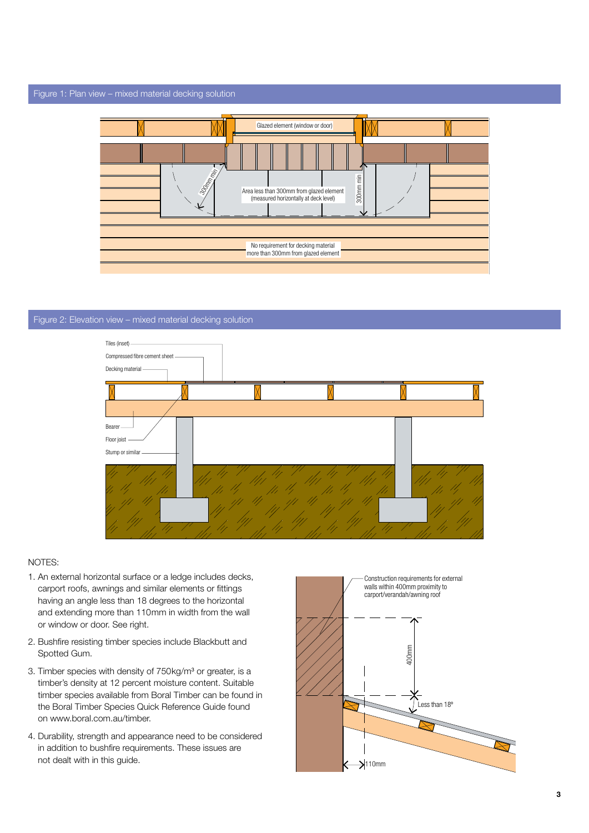#### Figure 1: Plan view – mixed material decking solution



#### Figure 2: Elevation view – mixed material decking solution



#### NOTES:

- 1. An external horizontal surface or a ledge includes decks, carport roofs, awnings and similar elements or fittings having an angle less than 18 degrees to the horizontal and extending more than 110mm in width from the wall or window or door. See right.
- 2. Bushfire resisting timber species include Blackbutt and Spotted Gum.
- 3. Timber species with density of 750kg/m<sup>3</sup> or greater, is a timber's density at 12 percent moisture content. Suitable timber species available from Boral Timber can be found in the Boral Timber Species Quick Reference Guide found on www.boral.com.au/timber.
- 4. Durability, strength and appearance need to be considered in addition to bushfire requirements. These issues are not dealt with in this guide.

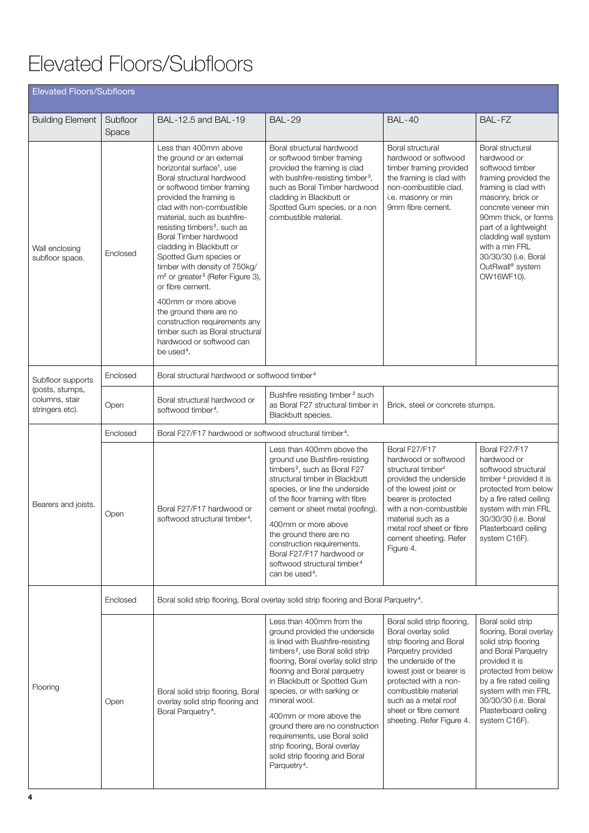# Elevated Floors/Subfloors

| <b>Elevated Floors/Subfloors</b>                     |                   |                                                                                                                                                                                                                                                                                                                                                                                                                                                                                           |                                                                                                                                                                                                                                                                                                                                                                                                                                                                                                    |                                                                                                                                                                                                                                                                                          |                                                                                                                                                                                                                                                                                                     |  |  |
|------------------------------------------------------|-------------------|-------------------------------------------------------------------------------------------------------------------------------------------------------------------------------------------------------------------------------------------------------------------------------------------------------------------------------------------------------------------------------------------------------------------------------------------------------------------------------------------|----------------------------------------------------------------------------------------------------------------------------------------------------------------------------------------------------------------------------------------------------------------------------------------------------------------------------------------------------------------------------------------------------------------------------------------------------------------------------------------------------|------------------------------------------------------------------------------------------------------------------------------------------------------------------------------------------------------------------------------------------------------------------------------------------|-----------------------------------------------------------------------------------------------------------------------------------------------------------------------------------------------------------------------------------------------------------------------------------------------------|--|--|
| <b>Building Element</b>                              | Subfloor<br>Space | BAL-12.5 and BAL-19                                                                                                                                                                                                                                                                                                                                                                                                                                                                       | <b>BAL-29</b>                                                                                                                                                                                                                                                                                                                                                                                                                                                                                      | <b>BAL-40</b>                                                                                                                                                                                                                                                                            | BAL-FZ                                                                                                                                                                                                                                                                                              |  |  |
| Wall enclosing<br>subfloor space.                    | Enclosed          | Less than 400mm above<br>the ground or an external<br>horizontal surface <sup>1</sup> , use<br>Boral structural hardwood<br>or softwood timber framing<br>provided the framing is<br>clad with non-combustible<br>material, such as bushfire-<br>resisting timbers <sup>2</sup> , such as<br>Boral Timber hardwood<br>cladding in Blackbutt or<br>Spotted Gum species or<br>timber with density of 750kg/<br>m <sup>2</sup> or greater <sup>3</sup> (Refer Figure 3),<br>or fibre cement. | Boral structural hardwood<br>or softwood timber framing<br>provided the framing is clad<br>with bushfire-resisting timber <sup>3</sup> ,<br>such as Boral Timber hardwood<br>cladding in Blackbutt or<br>Spotted Gum species, or a non<br>combustible material.                                                                                                                                                                                                                                    | Boral structural<br>hardwood or softwood<br>timber framing provided<br>the framing is clad with<br>non-combustible clad,<br>i.e. masonry or min<br>9mm fibre cement.                                                                                                                     | Boral structural<br>hardwood or<br>softwood timber<br>framing provided the<br>framing is clad with<br>masonry, brick or<br>concrete veneer min<br>90mm thick, or forms<br>part of a lightweight<br>cladding wall system<br>with a min FRL<br>30/30/30 (i.e. Boral<br>OutRwall® system<br>OW16WF10). |  |  |
|                                                      |                   | 400mm or more above<br>the ground there are no<br>construction requirements any<br>timber such as Boral structural<br>hardwood or softwood can<br>be used <sup>4</sup> .                                                                                                                                                                                                                                                                                                                  |                                                                                                                                                                                                                                                                                                                                                                                                                                                                                                    |                                                                                                                                                                                                                                                                                          |                                                                                                                                                                                                                                                                                                     |  |  |
| Subfloor supports                                    | Enclosed          | Boral structural hardwood or softwood timber <sup>4</sup>                                                                                                                                                                                                                                                                                                                                                                                                                                 |                                                                                                                                                                                                                                                                                                                                                                                                                                                                                                    |                                                                                                                                                                                                                                                                                          |                                                                                                                                                                                                                                                                                                     |  |  |
| (posts, stumps,<br>columns, stair<br>stringers etc). | Open              | Bushfire resisting timber <sup>2</sup> such<br>Boral structural hardwood or<br>as Boral F27 structural timber in<br>Brick, steel or concrete stumps.<br>softwood timber <sup>4</sup> .<br>Blackbutt species.                                                                                                                                                                                                                                                                              |                                                                                                                                                                                                                                                                                                                                                                                                                                                                                                    |                                                                                                                                                                                                                                                                                          |                                                                                                                                                                                                                                                                                                     |  |  |
|                                                      | Enclosed          | Boral F27/F17 hardwood or softwood structural timber <sup>4</sup> .                                                                                                                                                                                                                                                                                                                                                                                                                       |                                                                                                                                                                                                                                                                                                                                                                                                                                                                                                    |                                                                                                                                                                                                                                                                                          |                                                                                                                                                                                                                                                                                                     |  |  |
| Bearers and joists.                                  | Open              | Boral F27/F17 hardwood or<br>softwood structural timber <sup>4</sup> .                                                                                                                                                                                                                                                                                                                                                                                                                    | Less than 400mm above the<br>ground use Bushfire-resisting<br>timbers <sup>2</sup> , such as Boral F27<br>structural timber in Blackbutt<br>species, or line the underside<br>of the floor framing with fibre<br>cement or sheet metal (roofing).<br>400mm or more above<br>the ground there are no<br>construction requirements.<br>Boral F27/F17 hardwood or<br>softwood structural timber <sup>4</sup><br>can be used <sup>4</sup> .                                                            | Boral F27/F17<br>hardwood or softwood<br>structural timber <sup>4</sup><br>provided the underside<br>of the lowest joist or<br>bearer is protected<br>with a non-combustible<br>material such as a<br>metal roof sheet or fibre<br>cement sheeting. Refer<br>Figure 4.                   | Boral F27/F17<br>hardwood or<br>softwood structural<br>timber <sup>4</sup> provided it is<br>protected from below<br>by a fire rated ceiling<br>system with min FRL<br>30/30/30 (i.e. Boral<br>Plasterboard ceiling<br>system C16F).                                                                |  |  |
|                                                      | Enclosed          |                                                                                                                                                                                                                                                                                                                                                                                                                                                                                           | Boral solid strip flooring, Boral overlay solid strip flooring and Boral Parquetry <sup>4</sup> .                                                                                                                                                                                                                                                                                                                                                                                                  |                                                                                                                                                                                                                                                                                          |                                                                                                                                                                                                                                                                                                     |  |  |
| Flooring                                             | Open              | Boral solid strip flooring, Boral<br>overlay solid strip flooring and<br>Boral Parquetry <sup>4</sup> .                                                                                                                                                                                                                                                                                                                                                                                   | Less than 400mm from the<br>ground provided the underside<br>is lined with Bushfire-resisting<br>timbers <sup>2</sup> , use Boral solid strip<br>flooring, Boral overlay solid strip<br>flooring and Boral parquetry<br>in Blackbutt or Spotted Gum<br>species, or with sarking or<br>mineral wool.<br>400mm or more above the<br>ground there are no construction<br>requirements, use Boral solid<br>strip flooring, Boral overlay<br>solid strip flooring and Boral<br>Parquetry <sup>4</sup> . | Boral solid strip flooring,<br>Boral overlay solid<br>strip flooring and Boral<br>Parquetry provided<br>the underside of the<br>lowest joist or bearer is<br>protected with a non-<br>combustible material<br>such as a metal roof<br>sheet or fibre cement<br>sheeting. Refer Figure 4. | Boral solid strip<br>flooring, Boral overlay<br>solid strip flooring<br>and Boral Parquetry<br>provided it is<br>protected from below<br>by a fire rated ceiling<br>system with min FRL<br>30/30/30 (i.e. Boral<br>Plasterboard ceiling<br>system C16F).                                            |  |  |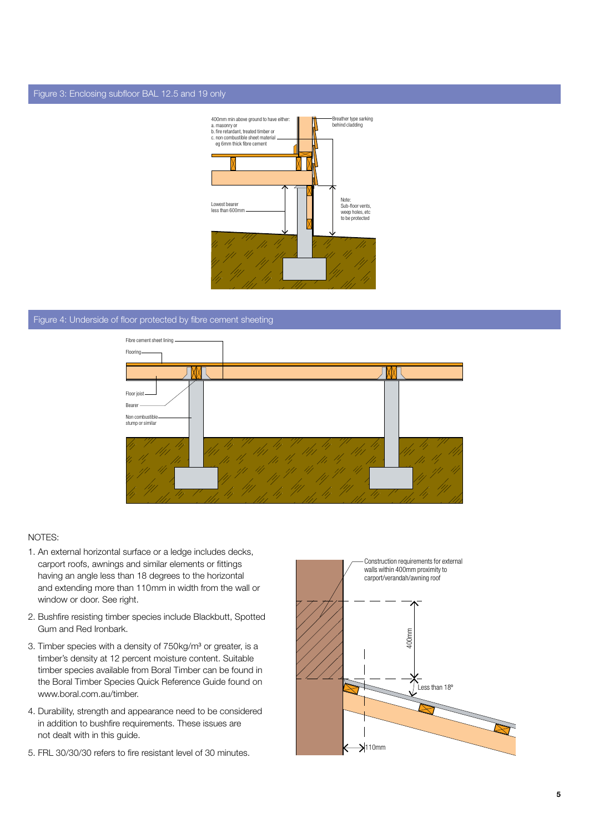#### Figure 3: Enclosing subfloor BAL 12.5 and 19 only



#### Figure 4: Underside of floor protected by fibre cement sheeting



#### NOTES:

- 1. An external horizontal surface or a ledge includes decks, carport roofs, awnings and similar elements or fittings having an angle less than 18 degrees to the horizontal and extending more than 110mm in width from the wall or window or door. See right.
- 2. Bushfire resisting timber species include Blackbutt, Spotted Gum and Red Ironbark.
- 3. Timber species with a density of 750kg/m<sup>3</sup> or greater, is a timber's density at 12 percent moisture content. Suitable timber species available from Boral Timber can be found in the Boral Timber Species Quick Reference Guide found on www.boral.com.au/timber.
- 4. Durability, strength and appearance need to be considered in addition to bushfire requirements. These issues are not dealt with in this guide.
- 5. FRL 30/30/30 refers to fire resistant level of 30 minutes.

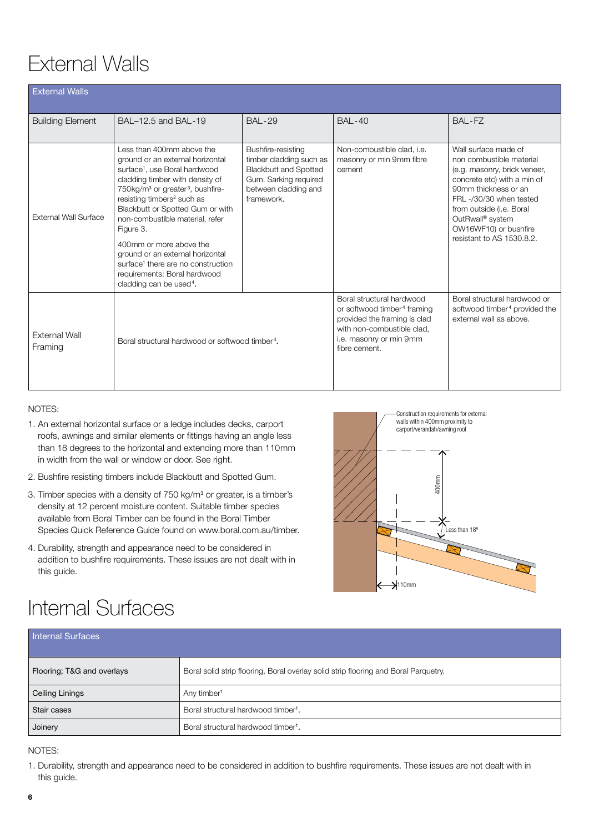## External Walls

| <b>External Walls</b>           |                                                                                                                                                                                                                                                                                                                                                                                                                                                                                                                                 |                                                                                                                                              |                                                                                                                                                                                |                                                                                                                                                                                                                                                                                     |
|---------------------------------|---------------------------------------------------------------------------------------------------------------------------------------------------------------------------------------------------------------------------------------------------------------------------------------------------------------------------------------------------------------------------------------------------------------------------------------------------------------------------------------------------------------------------------|----------------------------------------------------------------------------------------------------------------------------------------------|--------------------------------------------------------------------------------------------------------------------------------------------------------------------------------|-------------------------------------------------------------------------------------------------------------------------------------------------------------------------------------------------------------------------------------------------------------------------------------|
| <b>Building Element</b>         | BAL-12.5 and BAL-19                                                                                                                                                                                                                                                                                                                                                                                                                                                                                                             | <b>BAL-29</b>                                                                                                                                | <b>BAL-40</b>                                                                                                                                                                  | BAL-FZ                                                                                                                                                                                                                                                                              |
| <b>External Wall Surface</b>    | Less than 400mm above the<br>ground or an external horizontal<br>surface <sup>1</sup> , use Boral hardwood<br>cladding timber with density of<br>750kg/m <sup>3</sup> or greater <sup>3</sup> , bushfire-<br>resisting timbers <sup>2</sup> such as<br>Blackbutt or Spotted Gum or with<br>non-combustible material, refer<br>Figure 3.<br>400mm or more above the<br>ground or an external horizontal<br>surface <sup>1</sup> there are no construction<br>requirements: Boral hardwood<br>cladding can be used <sup>4</sup> . | Bushfire-resisting<br>timber cladding such as<br><b>Blackbutt and Spotted</b><br>Gum. Sarking required<br>between cladding and<br>framework. | Non-combustible clad, i.e.<br>masonry or min 9mm fibre<br>cement                                                                                                               | Wall surface made of<br>non combustible material<br>(e.g. masonry, brick veneer,<br>concrete etc) with a min of<br>90mm thickness or an<br>FRL-/30/30 when tested<br>from outside (i.e. Boral<br>OutRwall <sup>®</sup> system<br>OW16WF10) or bushfire<br>resistant to AS 1530.8.2. |
| <b>External Wall</b><br>Framing | Boral structural hardwood or softwood timber <sup>4</sup> .                                                                                                                                                                                                                                                                                                                                                                                                                                                                     |                                                                                                                                              | Boral structural hardwood<br>or softwood timber <sup>4</sup> framing<br>provided the framing is clad<br>with non-combustible clad.<br>i.e. masonry or min 9mm<br>fibre cement. | Boral structural hardwood or<br>softwood timber <sup>4</sup> provided the<br>external wall as above.                                                                                                                                                                                |

#### NOTES:

- 1. An external horizontal surface or a ledge includes decks, carport roofs, awnings and similar elements or fittings having an angle less than 18 degrees to the horizontal and extending more than 110mm in width from the wall or window or door. See right.
- 2. Bushfire resisting timbers include Blackbutt and Spotted Gum.
- 3. Timber species with a density of 750 kg/m<sup>3</sup> or greater, is a timber's density at 12 percent moisture content. Suitable timber species available from Boral Timber can be found in the Boral Timber Species Quick Reference Guide found on www.boral.com.au/timber.
- 4. Durability, strength and appearance need to be considered in addition to bushfire requirements. These issues are not dealt with in this guide.



### Internal Surfaces

| Internal Surfaces          |                                                                                     |
|----------------------------|-------------------------------------------------------------------------------------|
| Flooring; T&G and overlays | Boral solid strip flooring, Boral overlay solid strip flooring and Boral Parquetry. |
| Ceiling Linings            | Any timber <sup>1</sup>                                                             |
| Stair cases                | Boral structural hardwood timber <sup>1</sup> .                                     |
| Joinery                    | Boral structural hardwood timber <sup>1</sup> .                                     |

NOTES:

1. Durability, strength and appearance need to be considered in addition to bushfire requirements. These issues are not dealt with in this guide.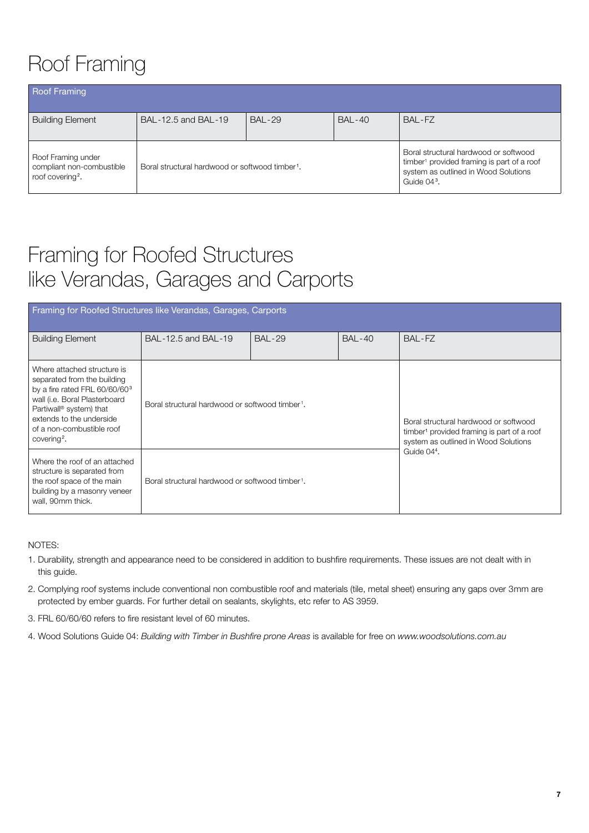# Roof Framing

| <b>Roof Framing</b>                                                             |                                                             |                |               |                                                                                                                                                                    |
|---------------------------------------------------------------------------------|-------------------------------------------------------------|----------------|---------------|--------------------------------------------------------------------------------------------------------------------------------------------------------------------|
| <b>Building Element</b>                                                         | BAL-12.5 and BAL-19                                         | <b>BAI -29</b> | <b>BAL-40</b> | BAI-FZ                                                                                                                                                             |
| Roof Framing under<br>compliant non-combustible<br>roof covering <sup>2</sup> . | Boral structural hardwood or softwood timber <sup>1</sup> . |                |               | Boral structural hardwood or softwood<br>timber <sup>1</sup> provided framing is part of a roof<br>system as outlined in Wood Solutions<br>Guide 04 <sup>3</sup> . |

### Framing for Roofed Structures like Verandas, Garages and Carports

| Framing for Roofed Structures like Verandas, Garages, Carports                                                                                                                                                                                                      |                                                             |               |               |                                                                                                                                         |  |  |  |
|---------------------------------------------------------------------------------------------------------------------------------------------------------------------------------------------------------------------------------------------------------------------|-------------------------------------------------------------|---------------|---------------|-----------------------------------------------------------------------------------------------------------------------------------------|--|--|--|
| <b>Building Element</b>                                                                                                                                                                                                                                             | BAL-12.5 and BAL-19                                         | <b>BAL-29</b> | <b>BAL-40</b> | BAL-FZ                                                                                                                                  |  |  |  |
| Where attached structure is<br>separated from the building<br>by a fire rated FRL 60/60/60 <sup>3</sup><br>wall (i.e. Boral Plasterboard<br>Partiwall <sup>®</sup> system) that<br>extends to the underside<br>of a non-combustible roof<br>covering <sup>2</sup> . | Boral structural hardwood or softwood timber <sup>1</sup> . |               |               | Boral structural hardwood or softwood<br>timber <sup>1</sup> provided framing is part of a roof<br>system as outlined in Wood Solutions |  |  |  |
| Where the roof of an attached<br>structure is separated from<br>the roof space of the main<br>building by a masonry veneer<br>wall, 90mm thick.                                                                                                                     | Boral structural hardwood or softwood timber <sup>1</sup> . |               |               | Guide 04 <sup>4</sup> .                                                                                                                 |  |  |  |

NOTES:

- 1. Durability, strength and appearance need to be considered in addition to bushfire requirements. These issues are not dealt with in this guide.
- 2. Complying roof systems include conventional non combustible roof and materials (tile, metal sheet) ensuring any gaps over 3mm are protected by ember guards. For further detail on sealants, skylights, etc refer to AS 3959.
- 3. FRL 60/60/60 refers to fire resistant level of 60 minutes.
- 4. Wood Solutions Guide 04: *Building with Timber in Bushfire prone Areas* is available for free on *www.woodsolutions.com.au*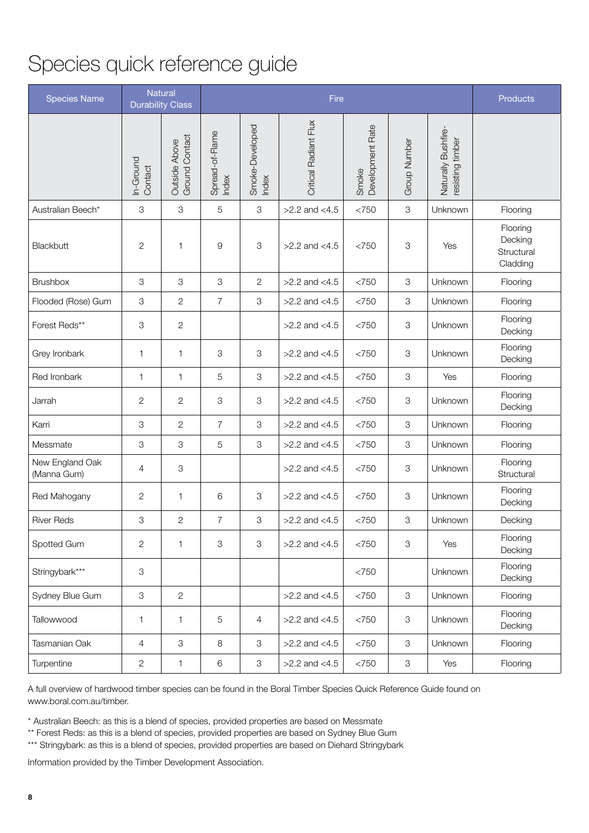## Species quick reference guide

| <b>Species Name</b>            |                      | Natural<br><b>Durability Class</b> | Fire                     |                           |                              |                           | <b>Products</b>           |                                         |                                               |
|--------------------------------|----------------------|------------------------------------|--------------------------|---------------------------|------------------------------|---------------------------|---------------------------|-----------------------------------------|-----------------------------------------------|
|                                | In-Ground<br>Contact | Ground Contact<br>Outside Above    | Spread-of-Flame<br>Index | Smoke-Developed<br>Index  | <b>Critical Radiant Flux</b> | Development Rate<br>Smoke | <b>Group Number</b>       | Naturally Bushfire-<br>resisting timber |                                               |
| Australian Beech*              | 3                    | 3                                  | 5                        | 3                         | $>2.2$ and $<4.5$            | <750                      | $\mathfrak 3$             | Unknown                                 | Flooring                                      |
| Blackbutt                      | $\mathbf{2}$         | 1                                  | 9                        | 3                         | $>2.2$ and $<4.5$            | <750                      | $\ensuremath{\mathsf{3}}$ | Yes                                     | Flooring<br>Decking<br>Structural<br>Cladding |
| <b>Brushbox</b>                | 3                    | 3                                  | 3                        | $\overline{c}$            | $>2.2$ and $<4.5$            | <750                      | $\ensuremath{\mathsf{3}}$ | Unknown                                 | Flooring                                      |
| Flooded (Rose) Gum             | 3                    | $\overline{c}$                     | $\overline{7}$           | 3                         | $>2.2$ and $<4.5$            | <750                      | $\,3$                     | Unknown                                 | Flooring                                      |
| Forest Reds**                  | 3                    | $\overline{c}$                     |                          |                           | $>2.2$ and $<4.5$            | <750                      | $\,3$                     | Unknown                                 | Flooring<br>Decking                           |
| Grey Ironbark                  | 1                    | $\mathbf{1}$                       | 3                        | 3                         | $>2.2$ and $<4.5$            | <750                      | $\,3$                     | Unknown                                 | Flooring<br>Decking                           |
| Red Ironbark                   | 1                    | $\mathbf{1}$                       | 5                        | 3                         | $>2.2$ and $<4.5$            | <750                      | $\,3$                     | Yes                                     | Flooring                                      |
| Jarrah                         | $\sqrt{2}$           | $\mathbf{2}$                       | 3                        | 3                         | $>2.2$ and $<4.5$            | <750                      | $\ensuremath{\mathsf{3}}$ | Unknown                                 | Flooring<br>Decking                           |
| Karri                          | 3                    | $\overline{c}$                     | $\overline{7}$           | 3                         | $>2.2$ and $<4.5$            | <750                      | $\,3$                     | Unknown                                 | Flooring                                      |
| Messmate                       | 3                    | 3                                  | 5                        | 3                         | $>2.2$ and $<4.5$            | <750                      | $\mathsf 3$               | Unknown                                 | Flooring                                      |
| New England Oak<br>(Manna Gum) | 4                    | 3                                  |                          |                           | $>2.2$ and $<4.5$            | <750                      | $\,3$                     | Unknown                                 | Flooring<br>Structural                        |
| Red Mahogany                   | 2                    | 1                                  | 6                        | 3                         | $>2.2$ and $<4.5$            | <750                      | 3                         | Unknown                                 | Flooring<br>Decking                           |
| <b>River Reds</b>              | 3                    | $\overline{c}$                     | 7                        | 3                         | $>2.2$ and $<4.5$            | <750                      | 3                         | Unknown                                 | Decking                                       |
| Spotted Gum                    | $\mathbf{2}$         | $\mathbf{1}$                       | 3                        | $\ensuremath{\mathsf{3}}$ | $>2.2$ and $<4.5$            | <750                      | $\ensuremath{\mathsf{3}}$ | Yes                                     | Flooring<br>Decking                           |
| Stringybark***                 | 3                    |                                    |                          |                           |                              | <750                      |                           | Unknown                                 | Flooring<br>Decking                           |
| Sydney Blue Gum                | 3                    | $\mathbf{2}$                       |                          |                           | $>2.2$ and $<4.5$            | <750                      | $\,3$                     | Unknown                                 | Flooring                                      |
| Tallowwood                     | 1                    | $\mathbf{1}$                       | $\,$ 5 $\,$              | 4                         | $>2.2$ and $<4.5$            | <750                      | $\,3$                     | Unknown                                 | Flooring<br>Decking                           |
| Tasmanian Oak                  | 4                    | 3                                  | 8                        | 3                         | $>2.2$ and $<4.5$            | <750                      | 3                         | Unknown                                 | Flooring                                      |
| Turpentine                     | $\mathbf{2}$         | $\mathbf{1}$                       | $\,6\,$                  | $\ensuremath{\mathsf{3}}$ | $>2.2$ and $<4.5$            | <750                      | $\,3$                     | Yes                                     | Flooring                                      |

A full overview of hardwood timber species can be found in the Boral Timber Species Quick Reference Guide found on www.boral.com.au/timber.

\* Australian Beech: as this is a blend of species, provided properties are based on Messmate

\*\* Forest Reds: as this is a blend of species, provided properties are based on Sydney Blue Gum

\*\*\* Stringybark: as this is a blend of species, provided properties are based on Diehard Stringybark

Information provided by the Timber Development Association.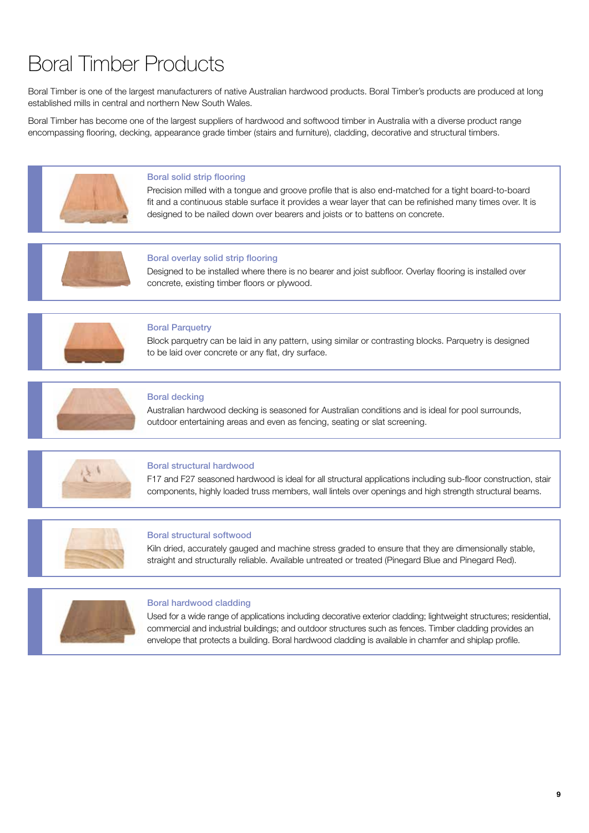## Boral Timber Products

Boral Timber is one of the largest manufacturers of native Australian hardwood products. Boral Timber's products are produced at long established mills in central and northern New South Wales.

Boral Timber has become one of the largest suppliers of hardwood and softwood timber in Australia with a diverse product range encompassing flooring, decking, appearance grade timber (stairs and furniture), cladding, decorative and structural timbers.



#### Boral solid strip flooring

Precision milled with a tongue and groove profile that is also end-matched for a tight board-to-board fit and a continuous stable surface it provides a wear layer that can be refinished many times over. It is designed to be nailed down over bearers and joists or to battens on concrete.



#### Boral overlay solid strip flooring

Designed to be installed where there is no bearer and joist subfloor. Overlay flooring is installed over concrete, existing timber floors or plywood.



#### Boral Parquetry

Block parquetry can be laid in any pattern, using similar or contrasting blocks. Parquetry is designed to be laid over concrete or any flat, dry surface.



#### Boral decking

Australian hardwood decking is seasoned for Australian conditions and is ideal for pool surrounds, outdoor entertaining areas and even as fencing, seating or slat screening.



#### Boral structural hardwood

F17 and F27 seasoned hardwood is ideal for all structural applications including sub-floor construction, stair components, highly loaded truss members, wall lintels over openings and high strength structural beams.



#### Boral structural softwood

Kiln dried, accurately gauged and machine stress graded to ensure that they are dimensionally stable, straight and structurally reliable. Available untreated or treated (Pinegard Blue and Pinegard Red).



#### Boral hardwood cladding

Used for a wide range of applications including decorative exterior cladding; lightweight structures; residential, commercial and industrial buildings; and outdoor structures such as fences. Timber cladding provides an envelope that protects a building. Boral hardwood cladding is available in chamfer and shiplap profile.